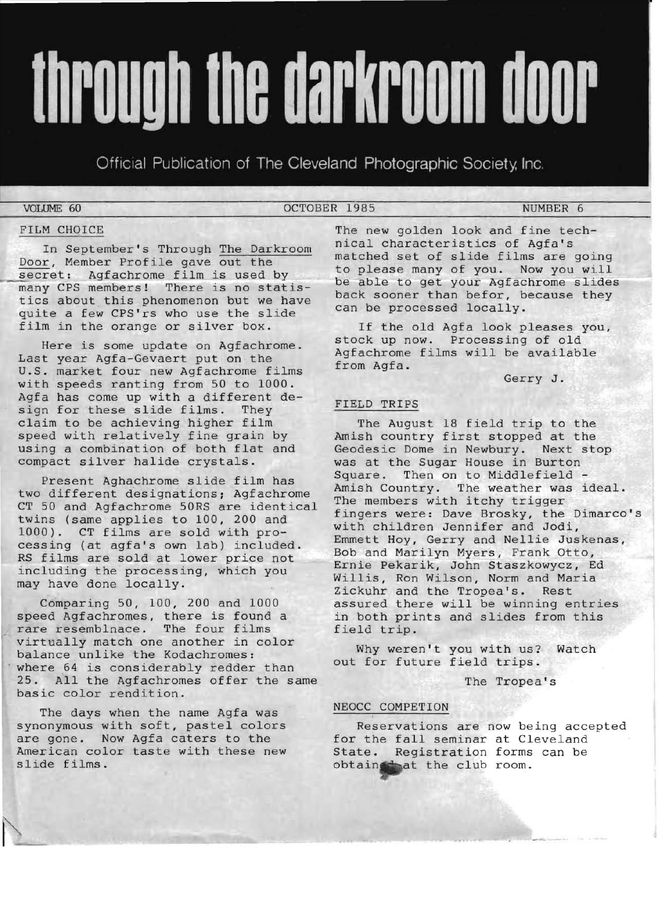# through the darkroom door

Official Publication of The Cleveland Photographic Society, Inc.

VOLUME 60 OCTOBER 1985 NUMBER 6

## FILM CHOICE

In September's Through The Darkroom Door, Member Profile gave out the secret: Agfachrome film is used by many CPS members! There is no statistics about this phenomenon but we have quite a few CPS'rs who use the slide film in the orange or silver box.

Here is some update on Agfachrome. Last year Agfa-Gevaert put on the U.S. market four new Agfachrome films with speeds ranting from 50 to 1000. Agfa has come up with a different design for these slide films. They claim to be achieving higher film speed with relatively fine grain by using a combination of both flat and compact silver halide crystals.

Present Aghachrome slide film has two different designations; Agfachrome CT 50 and Agfachrome 50RS are identical twins (same applies to 100, 200 and 1000). CT films are sold with processing (at agfa's own lab) included. RS films are sold at lower price not including the processing, which you may have done locally.

Comparing 50, 100, 200 and 1000 speed Agfachromes, there is found a rare resemblnace. The four films virtually match one another in color balance unlike the Kodachromes: where 64 is considerably redder than 25. All the Agfachromes offer the same basic color rendition.

The days when the name Agfa was synonymous with soft, pastel colors are gone. Now Agfa caters to the American color taste with these new slide films.

The new golden look and fine technical characteristics of Agfa's matched set of slide films are going to please many of you. Now you will be able to get your Agfachrome slides back sooner than befor, because they can be processed locally.

If the old Agfa look pleases you, stock up now. Processing of old Agfachrome films will be available from Agfa.

Gerry J.

# FIELD TRIPS

The August 18 field trip to the Amish country first stopped at the Geodesic Dome in Newbury. Next stop was at the Sugar House in Burton Square. Then on to Middlefield -Amish Country. The weather was ideal. The members with itchy trigger fingers were: Dave Brosky, the Dimarco's with children Jennifer and Jodi, Emmett Hoy, Gerry and Nellie Juskenas, Bob and Marilyn Myers, Frank Otto, Ernie Pekarik, John Staszkowycz, Ed Willis, Ron Wilson, Norm and Maria Zickuhr and the Tropea's. Rest assured there will be winning entries in both prints and slides from this field trip.

Why weren't you with us? Watch out for future field trips.

The Tropea's

# NEOCC COMPETION

Reservations are now being accepted for the fall seminar at Cleveland State. Registration forms can be obtain the club room.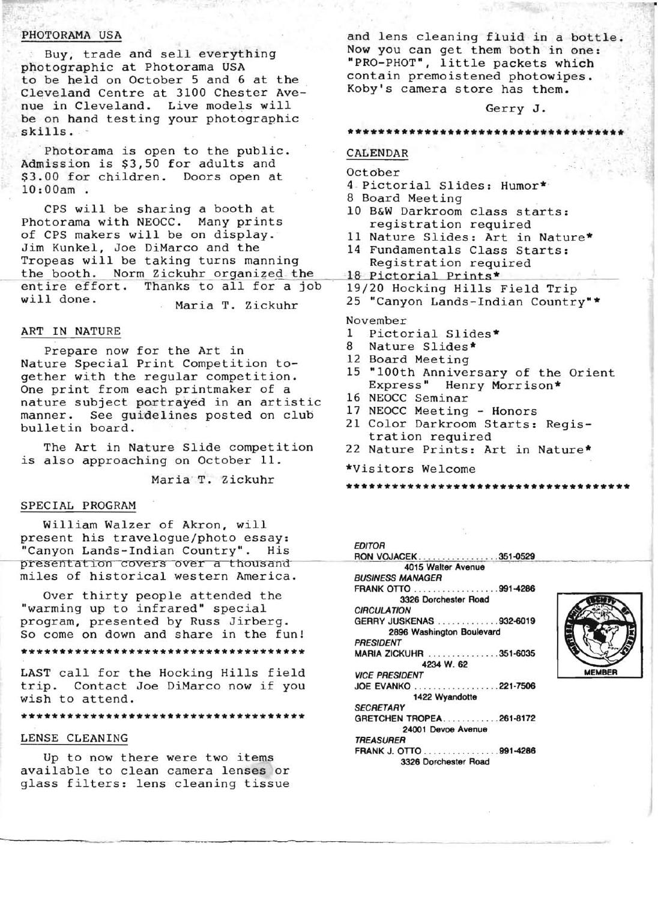## PHOTORAMA USA

Buy, trade and sell everything photographic at Photorama USA to be held on October 5 and 6 at the Cleveland Centre at 3100 Chester Avenue in Cleveland. Live models will be on hand testing your photographic skills. '

Photorama is open to the public. Admission is \$3,50 for adults and \$3.00 for children. Doors open at 10:00am .

CPS will be sharing a booth at Photorama with NEOCC. Many prints of CPS makers will be on display. Jim Kunkel, Joe DiMarco and the Tropeas will be taking turns manning the booth. Norm Zickuhr organized the entire effort. Thanks to all for a job will done. Maria T. Zickuhr

#### ART IN NATURE

Prepare now for the Art in Nature Special Print Competition together with the regular competition. One print from each printmaker of a nature subject portrayed in an artistic manner. See guidelines posted on club bulletin board.

The Art in Nature Slide competition is also approaching on October 11.

# Maria T. Zickuhr

#### SPECIAL PROGRAM

William Walzer of Akron, will present his travelogue/photo essay: "Canyon Lands-Indian Country". His presentation covers over a thousand miles of historical western America.

Over thirty people attended the "warming up to infrared" special program, presented by Russ Jirberg. So come on down and share in the fun! **\*\*\*\*\*\*\*\*\*\*\*\*\*\*\*\*\*\*\*\*\*\*\*\*\*\*\*\*\*\*\*\*\*\*\*\*\*** 

LAST call for the Hocking Hills field trip. Contact Joe DiMarco now if you wish to attend.

**\*\*\*\*\*\*\*\*\*\*\*\*\*\*\*\*\*\*\*\*\*\*\*\*\*\*\*\*\*\*\*\*\*\*\*\*\*** 

#### LENSE CLEANING

Up to now there were two items available to clean camera lenses or glass filters: lens cleaning tissue and lens cleaning fluid in a bottle. Now you can get them both in one: "PRO-PHOT", little packets which contain premoistened photowipes. Koby's camera store has them.

#### Gerry J.

#### **\*\*\*\*\*\*\*\*\*\*\*\*\*\*\*\*\*\*\*\*\*\*\*\*\*\*\*\*\*\*\*\*\*\*\*\***

# CALENDAR

#### October

- <sup>4</sup> . Pictorial Slides: Humor\*
- 8 Board Meeting
- 10 B&W Darkroom class starts: registration required
- 11 Nature Slides: Art in Nature\*
- 14 Fundamentals Class Starts: Registration required
- 18 Pictorial Prints\*
- 19/20 Hocking Hills Field Trip
- 25 "Canyon Lands-Indian Country"\*

#### November

- 1 Pictorial Slides\*<br>8 Nature Slides\*
- Nature Slides\*
- 12 Board Meeting
- 15 "100th Anniversary of the Orient Express" Henry Morrison\*
- 16 NEOCC Seminar
- 17 NEOCC Meeting Honors
- 21 Color Darkroom Starts: Registration required
- 22 Nature Prints: Art in Nature\*
- \*Visitors Welcome

**\*\*\*\*\*\*\*\*\*\*\*\*\*\*\*\*\*\*\*\*\*\*\*\*\*\*\*\*\*\*\*\*\*\*\*\*\*** 

|      | <b>EDITOR</b>             |               |  |
|------|---------------------------|---------------|--|
|      | RON VOJACEK351-0529       |               |  |
|      | 4015 Walter Avenue        |               |  |
|      | <b>BUSINESS MANAGER</b>   |               |  |
|      | FRANK OTTO 991-4286       |               |  |
|      | 3326 Dorchester Road      |               |  |
|      | <b>CIRCULATION</b>        |               |  |
|      | GERRY JUSKENAS 932-6019   |               |  |
| 1!   | 2896 Washington Boulevard |               |  |
|      | <b>PRESIDENT</b>          |               |  |
| k sk | MARIA ZICKUHR 351-6035    |               |  |
|      | 4234 W. 62                |               |  |
| Ld   | <b>VICE PRESIDENT</b>     | <b>MEMBER</b> |  |
| эu   | JOE EVANKO 221-7506       |               |  |
|      | 1422 Wyandotte            |               |  |
|      | <b>SECRETARY</b>          |               |  |
| r sk | GRETCHEN TROPEA261-8172   |               |  |
|      | 24001 Devoe Avenue        |               |  |
|      | <i><b>TREASURER</b></i>   |               |  |
|      | FRANK J. OTTO 991-4286    |               |  |
|      | 3326 Dorchester Road      |               |  |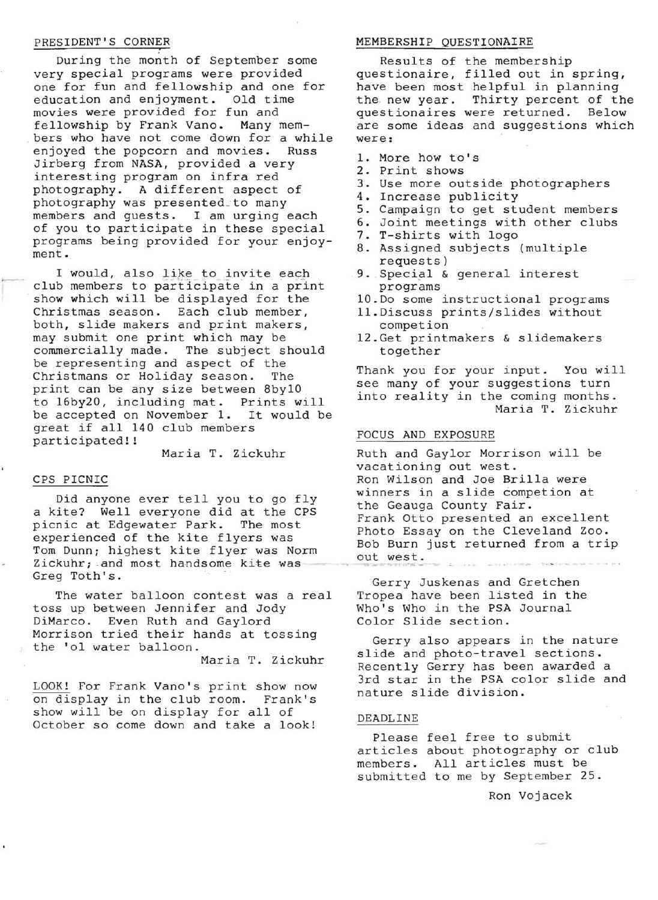PRESIDENT'S CORNER<br>During the month of September some very special programs were provided one for fun and fellowship and one for education and enjoyment. Old time movies were provided for fun and fellowship by Frank Vano. Many members who have not come down for a while<br>enioved the popcorn and movies. Russ enjoyed the popcorn and movies. Jirberg from NASA, provided a very interesting program on infra red photography. A different aspect of photography was presented\_to many members and guests. I am urging each of you to participate in these special programs being provided for your enjoyment.

I would, also like to invite each<br>club members to participate in a print I would, also like to invite each . show which will be displayed for the Christmas season. Each club member, both, slide makers and print makers, may submit one print which may be commercially made. The subject should be representing and aspect of the Christmans or Holiday season. The print can be any size between 8by10 to 16by20, including mat. Prints will be accepted on November 1. It would be great if all 140 club members participated! !

Maria T. Zickuhr

#### CPS PICNIC

Did anyone ever tell you to go fly a kite? Well everyone did at the CPS picnic at Edgewater Park. The most experienced of the kite flyers was Tom Dunn; highest kite flyer was Norm Zickuhr; and most handsome kite was Greg Toth's.

The water balloon contest was a real toss up between Jennifer and Jody DiMarco. Even Ruth and Gaylord Morrison tried their hands at tossing the '01 water balloon.

Maria T. Zickuhr

LOOK! For Frank Vano's print show now on display in the club room. Frank's show will be on display for all of October so come down and take a look!

#### MEMBERSHIP QUESTIONAIRE

Results of the membership questionaire, filled out in spring, have been most helpful in planning<br>the new year. Thirty percent of th Thirty percent of the<br>were returned. Below questionaires were returned. are some ideas and suggestions which were:

- 1. More how to's
- 2. Print shows
- 3. Use more outside photographers
- 4. Increase publicity
- 5. Campaign to get student members
- 6. Joint meetings with other clubs
- 7. T-shirts with logo
- 8. Assigned subjects (multiple requests)
- 9. Special & general interest programs
- 10.Do some instructional programs
- 11.Discuss prints/slides without competion
- 12.Get printmakers & slidemakers together

Thank you for your input. You will see many of your suggestions turn into reality in the coming months. Maria T. Zickuhr

#### FOCUS AND EXPOSURE

Ruth and Gaylor Morrison will be vacationing out west. Ron Wilson and Joe Brilla were winners in a slide competion at the Geauga County Fair. Frank Otto presented an excellent Photo Essay on the Cleveland Zoo. Bob Burn just returned from a trip out west.

Gerry Juskenas and Gretchen Tropea have been listed in the Who's Who in the PSA Journal Color Slide section.

Gerry also appears in the nature slide and photo-travel sections. Recently Gerry has been awarded a 3rd star in the PSA color slide and nature slide division.

#### DEADLINE

Please feel free to submit articles about photography or club members. All articles must be submitted to me by September 25.

Ron Vojacek